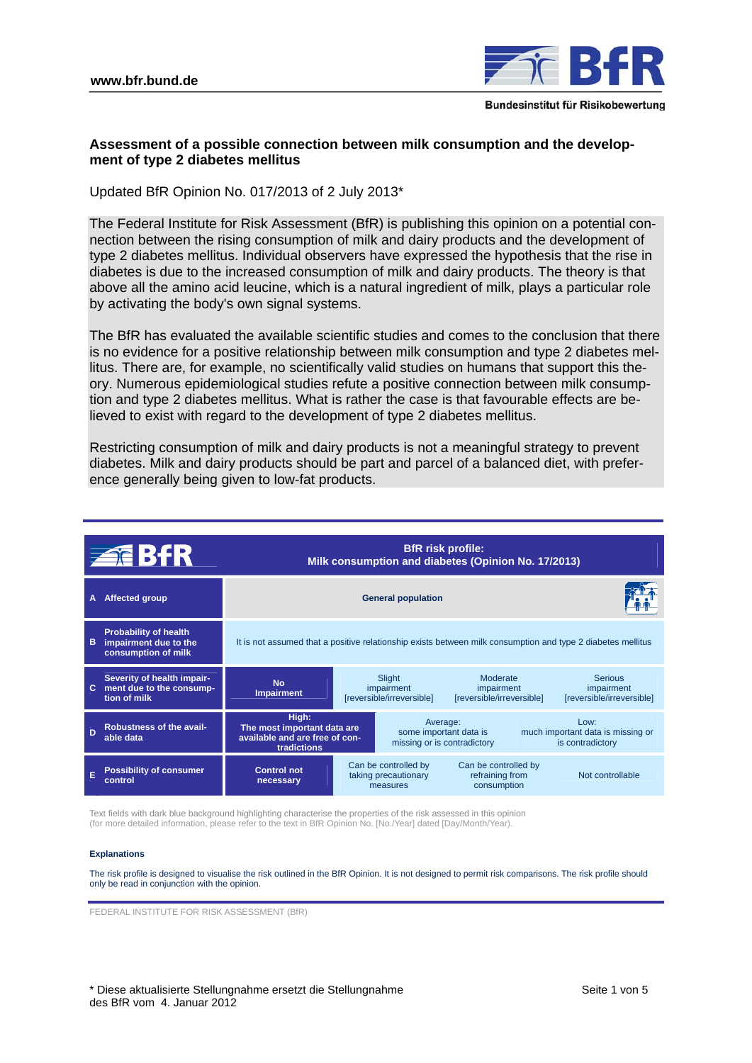

# **Assessment of a possible connection between milk consumption and the development of type 2 diabetes mellitus**

Updated BfR Opinion No. 017/2013 of 2 July 2013\*

The Federal Institute for Risk Assessment (BfR) is publishing this opinion on a potential connection between the rising consumption of milk and dairy products and the development of type 2 diabetes mellitus. Individual observers have expressed the hypothesis that the rise in diabetes is due to the increased consumption of milk and dairy products. The theory is that above all the amino acid leucine, which is a natural ingredient of milk, plays a particular role by activating the body's own signal systems.

The BfR has evaluated the available scientific studies and comes to the conclusion that there is no evidence for a positive relationship between milk consumption and type 2 diabetes mellitus. There are, for example, no scientifically valid studies on humans that support this theory. Numerous epidemiological studies refute a positive connection between milk consumption and type 2 diabetes mellitus. What is rather the case is that favourable effects are believed to exist with regard to the development of type 2 diabetes mellitus.

Restricting consumption of milk and dairy products is not a meaningful strategy to prevent diabetes. Milk and dairy products should be part and parcel of a balanced diet, with preference generally being given to low-fat products.

| <b>ZEBFR</b> |                                                                              | <b>BfR</b> risk profile:<br>Milk consumption and diabetes (Opinion No. 17/2013)                             |                                                          |                                                                   |                                                        |                                                               |
|--------------|------------------------------------------------------------------------------|-------------------------------------------------------------------------------------------------------------|----------------------------------------------------------|-------------------------------------------------------------------|--------------------------------------------------------|---------------------------------------------------------------|
| A            | <b>Affected group</b>                                                        | <b>General population</b>                                                                                   |                                                          |                                                                   |                                                        |                                                               |
| в            | <b>Probability of health</b><br>impairment due to the<br>consumption of milk | It is not assumed that a positive relationship exists between milk consumption and type 2 diabetes mellitus |                                                          |                                                                   |                                                        |                                                               |
| C.           | Severity of health impair-<br>ment due to the consump-<br>tion of milk       | <b>No</b><br><b>Impairment</b>                                                                              | Slight<br>impairment<br>[reversible/irreversible]        |                                                                   | Moderate<br>impairment<br>[reversible/irreversible]    | <b>Serious</b><br>impairment<br>[reversible/irreversible]     |
| D            | Robustness of the avail-<br>able data                                        | High:<br>The most important data are<br>available and are free of con-<br>tradictions                       |                                                          | Average:<br>some important data is<br>missing or is contradictory |                                                        | Low:<br>much important data is missing or<br>is contradictory |
| E            | <b>Possibility of consumer</b><br>control                                    | <b>Control not</b><br>necessary                                                                             | Can be controlled by<br>taking precautionary<br>measures |                                                                   | Can be controlled by<br>refraining from<br>consumption | Not controllable                                              |

Text fields with dark blue background highlighting characterise the properties of the risk assessed in this opinion<br>(for more detailed information, please refer to the text in BfR Opinion No. [No./Year] dated [Day/Month/Ye

#### **Explanations**

The risk profile is designed to visualise the risk outlined in the BfR Opinion. It is not designed to permit risk comparisons. The risk profile should only be read in conjunction with the opinion.

FEDERAL INSTITUTE FOR RISK ASSESSMENT (BfR)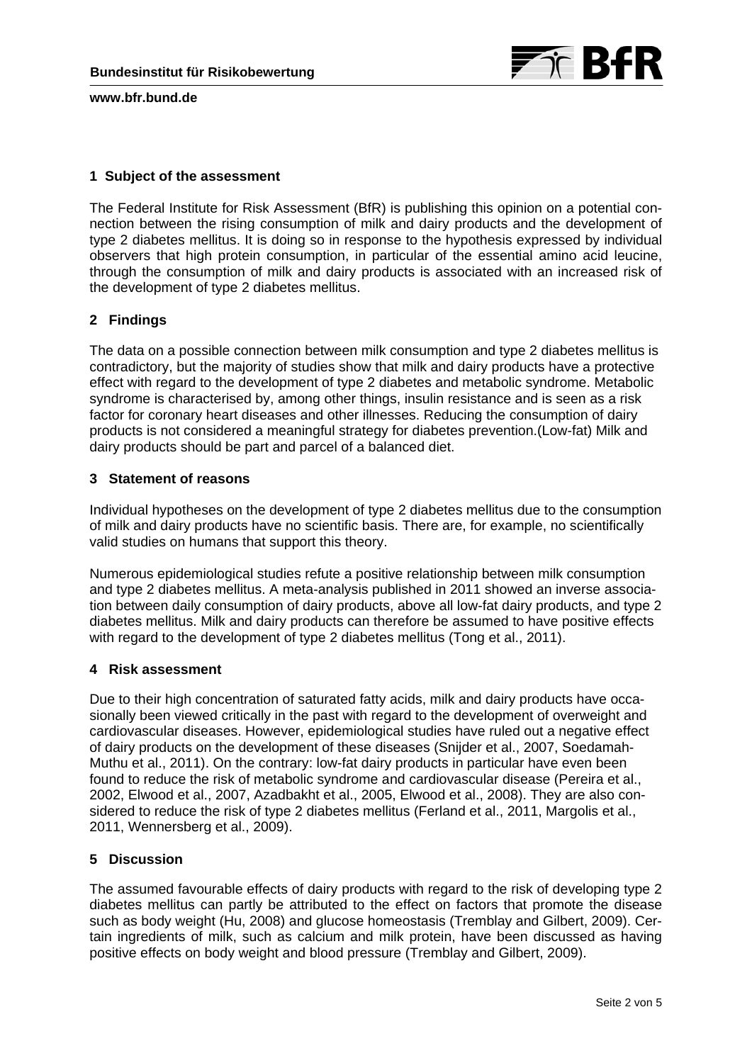

# **1 Subject of the assessment**

The Federal Institute for Risk Assessment (BfR) is publishing this opinion on a potential connection between the rising consumption of milk and dairy products and the development of type 2 diabetes mellitus. It is doing so in response to the hypothesis expressed by individual observers that high protein consumption, in particular of the essential amino acid leucine, through the consumption of milk and dairy products is associated with an increased risk of the development of type 2 diabetes mellitus.

# **2 Findings**

The data on a possible connection between milk consumption and type 2 diabetes mellitus is contradictory, but the majority of studies show that milk and dairy products have a protective effect with regard to the development of type 2 diabetes and metabolic syndrome. Metabolic syndrome is characterised by, among other things, insulin resistance and is seen as a risk factor for coronary heart diseases and other illnesses. Reducing the consumption of dairy products is not considered a meaningful strategy for diabetes prevention.(Low-fat) Milk and dairy products should be part and parcel of a balanced diet.

# **3 Statement of reasons**

Individual hypotheses on the development of type 2 diabetes mellitus due to the consumption of milk and dairy products have no scientific basis. There are, for example, no scientifically valid studies on humans that support this theory.

Numerous epidemiological studies refute a positive relationship between milk consumption and type 2 diabetes mellitus. A meta-analysis published in 2011 showed an inverse association between daily consumption of dairy products, above all low-fat dairy products, and type 2 diabetes mellitus. Milk and dairy products can therefore be assumed to have positive effects with regard to the development of type 2 diabetes mellitus (Tong et al., 2011).

# **4 Risk assessment**

Due to their high concentration of saturated fatty acids, milk and dairy products have occasionally been viewed critically in the past with regard to the development of overweight and cardiovascular diseases. However, epidemiological studies have ruled out a negative effect of dairy products on the development of these diseases (Snijder et al., 2007, Soedamah-Muthu et al., 2011). On the contrary: low-fat dairy products in particular have even been found to reduce the risk of metabolic syndrome and cardiovascular disease (Pereira et al., 2002, Elwood et al., 2007, Azadbakht et al., 2005, Elwood et al., 2008). They are also considered to reduce the risk of type 2 diabetes mellitus (Ferland et al., 2011, Margolis et al., 2011, Wennersberg et al., 2009).

## **5 Discussion**

The assumed favourable effects of dairy products with regard to the risk of developing type 2 diabetes mellitus can partly be attributed to the effect on factors that promote the disease such as body weight (Hu, 2008) and glucose homeostasis (Tremblay and Gilbert, 2009). Certain ingredients of milk, such as calcium and milk protein, have been discussed as having positive effects on body weight and blood pressure (Tremblay and Gilbert, 2009).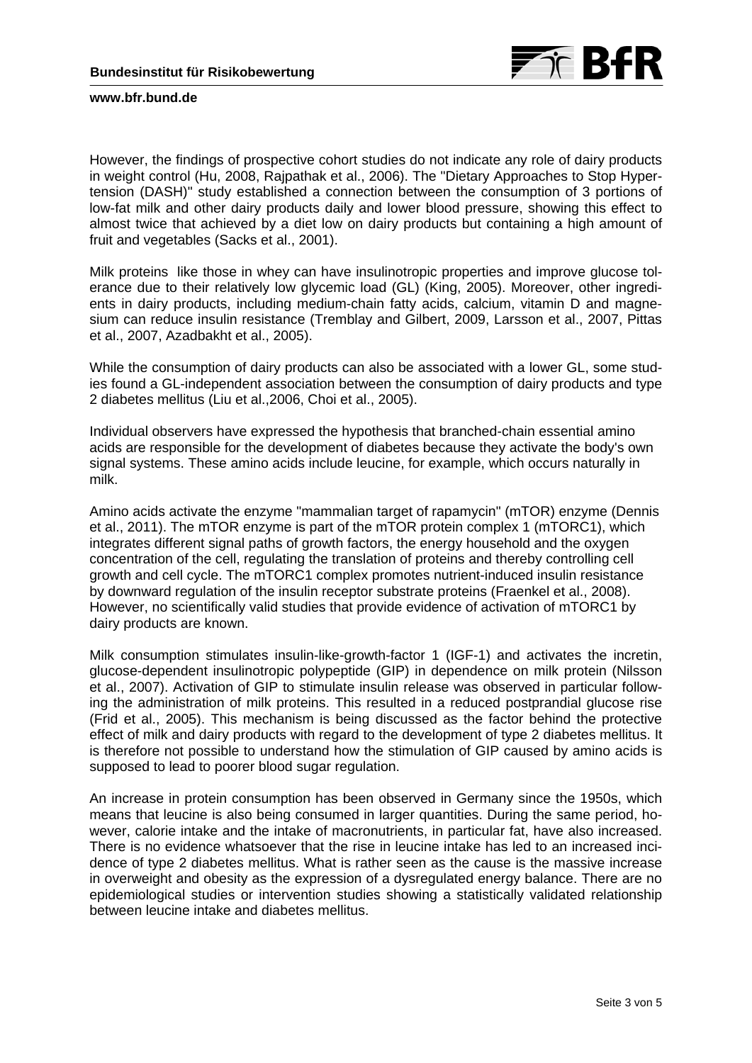

However, the findings of prospective cohort studies do not indicate any role of dairy products in weight control (Hu, 2008, Rajpathak et al., 2006). The "Dietary Approaches to Stop Hypertension (DASH)" study established a connection between the consumption of 3 portions of low-fat milk and other dairy products daily and lower blood pressure, showing this effect to almost twice that achieved by a diet low on dairy products but containing a high amount of fruit and vegetables (Sacks et al., 2001).

Milk proteins like those in whey can have insulinotropic properties and improve glucose tolerance due to their relatively low glycemic load (GL) (King, 2005). Moreover, other ingredients in dairy products, including medium-chain fatty acids, calcium, vitamin D and magnesium can reduce insulin resistance (Tremblay and Gilbert, 2009, Larsson et al., 2007, Pittas et al., 2007, Azadbakht et al., 2005).

While the consumption of dairy products can also be associated with a lower GL, some studies found a GL-independent association between the consumption of dairy products and type 2 diabetes mellitus (Liu et al.,2006, Choi et al., 2005).

Individual observers have expressed the hypothesis that branched-chain essential amino acids are responsible for the development of diabetes because they activate the body's own signal systems. These amino acids include leucine, for example, which occurs naturally in milk.

Amino acids activate the enzyme "mammalian target of rapamycin" (mTOR) enzyme (Dennis et al., 2011). The mTOR enzyme is part of the mTOR protein complex 1 (mTORC1), which integrates different signal paths of growth factors, the energy household and the oxygen concentration of the cell, regulating the translation of proteins and thereby controlling cell growth and cell cycle. The mTORC1 complex promotes nutrient-induced insulin resistance by downward regulation of the insulin receptor substrate proteins (Fraenkel et al., 2008). However, no scientifically valid studies that provide evidence of activation of mTORC1 by dairy products are known.

Milk consumption stimulates insulin-like-growth-factor 1 (IGF-1) and activates the incretin, glucose-dependent insulinotropic polypeptide (GIP) in dependence on milk protein (Nilsson et al., 2007). Activation of GIP to stimulate insulin release was observed in particular following the administration of milk proteins. This resulted in a reduced postprandial glucose rise (Frid et al., 2005). This mechanism is being discussed as the factor behind the protective effect of milk and dairy products with regard to the development of type 2 diabetes mellitus. It is therefore not possible to understand how the stimulation of GIP caused by amino acids is supposed to lead to poorer blood sugar regulation.

An increase in protein consumption has been observed in Germany since the 1950s, which means that leucine is also being consumed in larger quantities. During the same period, however, calorie intake and the intake of macronutrients, in particular fat, have also increased. There is no evidence whatsoever that the rise in leucine intake has led to an increased incidence of type 2 diabetes mellitus. What is rather seen as the cause is the massive increase in overweight and obesity as the expression of a dysregulated energy balance. There are no epidemiological studies or intervention studies showing a statistically validated relationship between leucine intake and diabetes mellitus.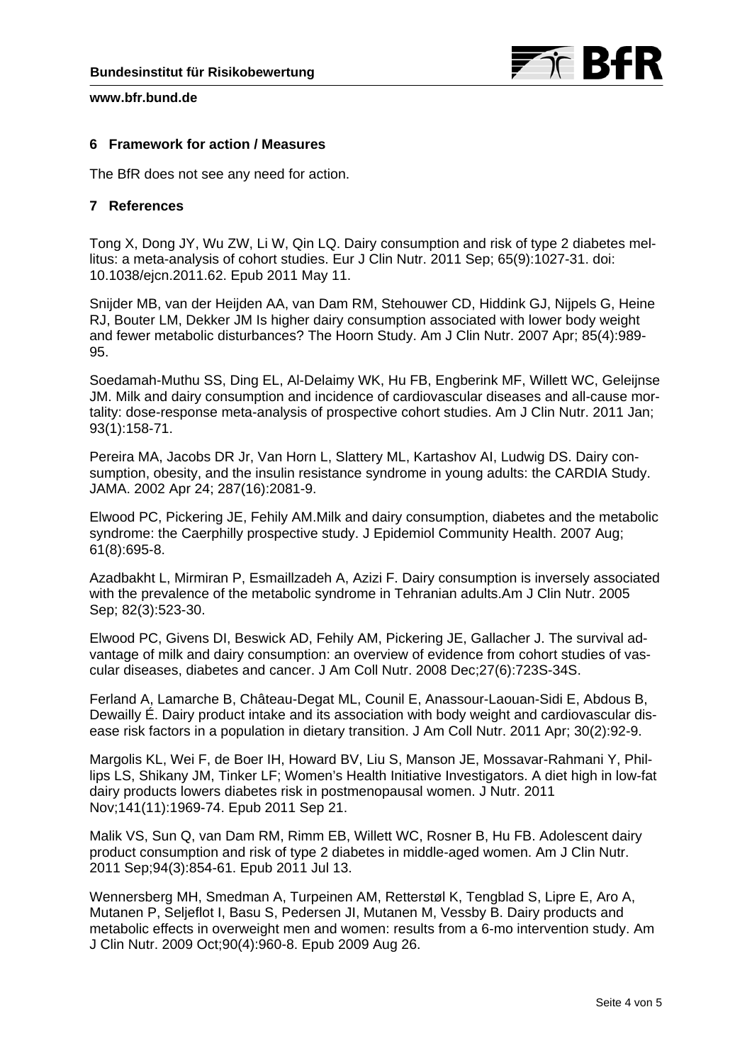

#### **6 Framework for action / Measures**

The BfR does not see any need for action.

### **7 References**

Tong X, Dong JY, Wu ZW, Li W, Qin LQ. Dairy consumption and risk of type 2 diabetes mellitus: a meta-analysis of cohort studies. Eur J Clin Nutr. 2011 Sep; 65(9):1027-31. doi: 10.1038/ejcn.2011.62. Epub 2011 May 11.

Snijder MB, van der Heijden AA, van Dam RM, Stehouwer CD, Hiddink GJ, Nijpels G, Heine RJ, Bouter LM, Dekker JM Is higher dairy consumption associated with lower body weight and fewer metabolic disturbances? The Hoorn Study. Am J Clin Nutr. 2007 Apr; 85(4):989- 95.

Soedamah-Muthu SS, Ding EL, Al-Delaimy WK, Hu FB, Engberink MF, Willett WC, Geleijnse JM. Milk and dairy consumption and incidence of cardiovascular diseases and all-cause mortality: dose-response meta-analysis of prospective cohort studies. Am J Clin Nutr. 2011 Jan; 93(1):158-71.

Pereira MA, Jacobs DR Jr, Van Horn L, Slattery ML, Kartashov AI, Ludwig DS. Dairy consumption, obesity, and the insulin resistance syndrome in young adults: the CARDIA Study. JAMA. 2002 Apr 24; 287(16):2081-9.

Elwood PC, Pickering JE, Fehily AM.Milk and dairy consumption, diabetes and the metabolic syndrome: the Caerphilly prospective study. J Epidemiol Community Health. 2007 Aug; 61(8):695-8.

Azadbakht L, Mirmiran P, Esmaillzadeh A, Azizi F. Dairy consumption is inversely associated with the prevalence of the metabolic syndrome in Tehranian adults.Am J Clin Nutr. 2005 Sep; 82(3):523-30.

Elwood PC, Givens DI, Beswick AD, Fehily AM, Pickering JE, Gallacher J. The survival advantage of milk and dairy consumption: an overview of evidence from cohort studies of vascular diseases, diabetes and cancer. J Am Coll Nutr. 2008 Dec;27(6):723S-34S.

Ferland A, Lamarche B, Château-Degat ML, Counil E, Anassour-Laouan-Sidi E, Abdous B, Dewailly É. Dairy product intake and its association with body weight and cardiovascular disease risk factors in a population in dietary transition. J Am Coll Nutr. 2011 Apr; 30(2):92-9.

Margolis KL, Wei F, de Boer IH, Howard BV, Liu S, Manson JE, Mossavar-Rahmani Y, Phillips LS, Shikany JM, Tinker LF; Women's Health Initiative Investigators. A diet high in low-fat dairy products lowers diabetes risk in postmenopausal women. J Nutr. 2011 Nov;141(11):1969-74. Epub 2011 Sep 21.

Malik VS, Sun Q, van Dam RM, Rimm EB, Willett WC, Rosner B, Hu FB. Adolescent dairy product consumption and risk of type 2 diabetes in middle-aged women. Am J Clin Nutr. 2011 Sep;94(3):854-61. Epub 2011 Jul 13.

Wennersberg MH, Smedman A, Turpeinen AM, Retterstøl K, Tengblad S, Lipre E, Aro A, Mutanen P, Seljeflot I, Basu S, Pedersen JI, Mutanen M, Vessby B. [Dairy products and](http://www.ncbi.nlm.nih.gov/pubmed/19710195)  [metabolic effects in overweight men and women: results from a 6-mo intervention study.](http://www.ncbi.nlm.nih.gov/pubmed/19710195) Am J Clin Nutr. 2009 Oct;90(4):960-8. Epub 2009 Aug 26.